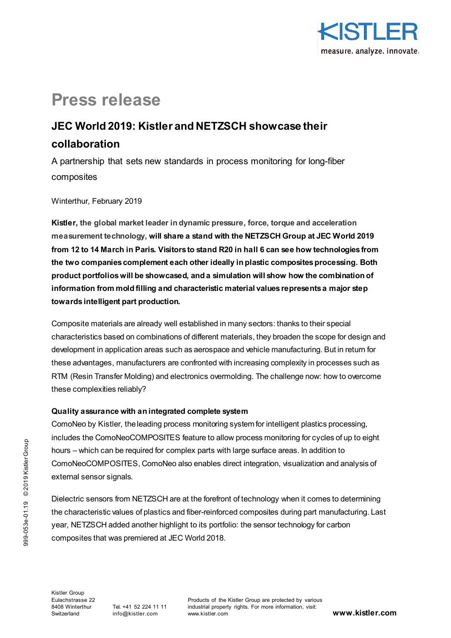

# **Press release**

## **JEC World 2019: Kistler and NETZSCH showcase their collaboration**

A partnership that sets new standards in process monitoring for long-fiber composites

Winterthur, February 2019

**Kistler, the global market leader in dynamic pressure, force, torque and acceleration measurement technology, will share a stand with the NETZSCH Group at JEC World 2019 from 12 to 14 March in Paris. Visitors to stand R20 in hall 6 can see how technologies from the two companies complement each other ideally in plastic composites processing. Both product portfolios will be showcased, and a simulation will show how the combination of information from mold filling and characteristic material values represents a major step towards intelligent part production.**

Composite materials are already well established in many sectors: thanks to their special characteristics based on combinations of different materials, they broaden the scope for design and development in application areas such as aerospace and vehicle manufacturing. But in return for these advantages, manufacturers are confronted with increasing complexity in processes such as RTM (Resin Transfer Molding) and electronics overmolding. The challenge now: how to overcome these complexities reliably?

## **Quality assurance with an integrated complete system**

ComoNeo by Kistler, the leading process monitoring system for intelligent plastics processing, includes the ComoNeoCOMPOSITES feature to allow process monitoring for cycles of up to eight hours – which can be required for complex parts with large surface areas. In addition to ComoNeoCOMPOSITES, ComoNeo also enables direct integration, visualization and analysis of external sensor signals.

Dielectric sensors from NETZSCH are at the forefront of technology when it comes to determining the characteristic values of plastics and fiber-reinforced composites during part manufacturing. Last year, NETZSCH added another highlight to its portfolio: the sensor technology for carbon composites that was premiered at JEC World 2018.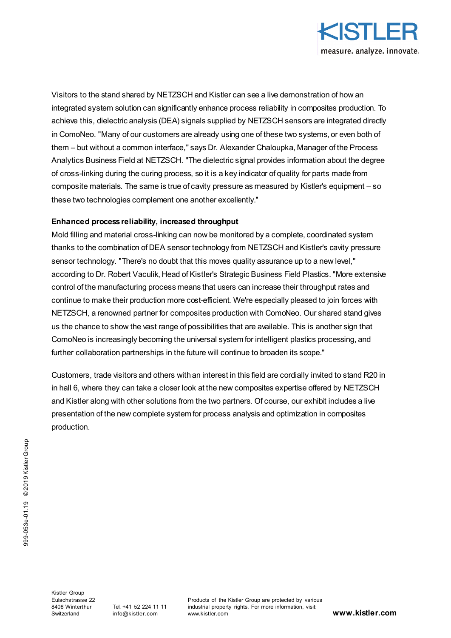

Visitors to the stand shared by NETZSCH and Kistler can see a live demonstration of how an integrated system solution can significantly enhance process reliability in composites production. To achieve this, dielectric analysis (DEA) signals supplied by NETZSCH sensors are integrated directly in ComoNeo. "Many of our customers are already using one of these two systems, or even both of them – but without a common interface," says Dr. Alexander Chaloupka, Manager of the Process Analytics Business Field at NETZSCH. "The dielectric signal provides information about the degree of cross-linking during the curing process, so it is a key indicator of quality for parts made from composite materials. The same is true of cavity pressure as measured by Kistler's equipment – so these two technologies complement one another excellently."

### **Enhanced process reliability, increased throughput**

Mold filling and material cross-linking can now be monitored by a complete, coordinated system thanks to the combination of DEA sensor technology from NETZSCH and Kistler's cavity pressure sensor technology. "There's no doubt that this moves quality assurance up to a new level," according to Dr. Robert Vaculik, Head of Kistler's Strategic Business Field Plastics. "More extensive control of the manufacturing process means that users can increase their throughput rates and continue to make their production more cost-efficient. We're especially pleased to join forces with NETZSCH, a renowned partner for composites production with ComoNeo. Our shared stand gives us the chance to show the vast range of possibilities that are available. This is another sign that ComoNeo is increasingly becoming the universal system for intelligent plastics processing, and further collaboration partnerships in the future will continue to broaden its scope."

Customers, trade visitors and others with an interest in this field are cordially invited to stand R20 in in hall 6, where they can take a closer look at the new composites expertise offered by NETZSCH and Kistler along with other solutions from the two partners. Of course, our exhibit includes a live presentation of the new complete system for process analysis and optimization in composites production.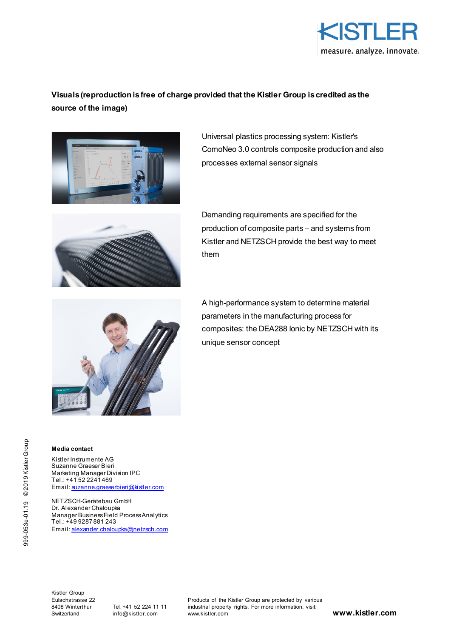

## **Visuals (reproduction is free of charge provided that the Kistler Group is credited as the source of the image)**



Universal plastics processing system: Kistler's ComoNeo 3.0 controls composite production and also processes external sensor signals



Demanding requirements are specified for the production of composite parts – and systems from Kistler and NETZSCH provide the best way to meet them



A high-performance system to determine material parameters in the manufacturing process for composites: the DEA288 Ionic by NETZSCH with its unique sensor concept

#### **Media contact**

Kistler Instrumente AG Suzanne Graeser Bieri Marketing Manager Division IPC Tel.: +41 52 2241 469 Email[: suzanne.graeserbieri@kistler.com](mailto:suzanne.graeserbieri@kistler.com)

NETZSCH-Gerätebau GmbH Dr. Alexander Chaloupka Manager Business Field Process Analytics Tel.: +49 9287 881 243 Email[: alexander.chaloupka@netzsch.com](mailto:alexander.chaloupka@netzsch.com)

Kistler Group Eulachstrasse 22 8408 Winterthur Switzerland